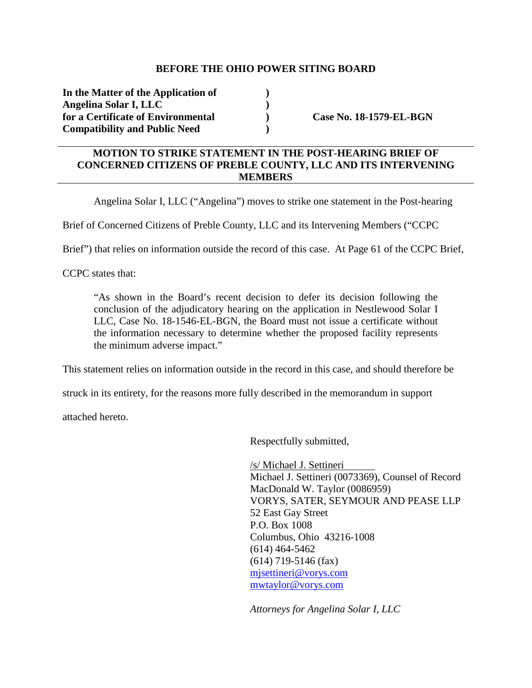## **BEFORE THE OHIO POWER SITING BOARD**

**In the Matter of the Application of ) Angelina Solar I, LLC )**  for a Certificate of Environmental **Case No. 18-1579-EL-BGN Compatibility and Public Need )** 

## **MOTION TO STRIKE STATEMENT IN THE POST-HEARING BRIEF OF CONCERNED CITIZENS OF PREBLE COUNTY, LLC AND ITS INTERVENING MEMBERS**

Angelina Solar I, LLC ("Angelina") moves to strike one statement in the Post-hearing

Brief of Concerned Citizens of Preble County, LLC and its Intervening Members ("CCPC

Brief") that relies on information outside the record of this case. At Page 61 of the CCPC Brief,

CCPC states that:

"As shown in the Board's recent decision to defer its decision following the conclusion of the adjudicatory hearing on the application in Nestlewood Solar I LLC, Case No. 18-1546-EL-BGN, the Board must not issue a certificate without the information necessary to determine whether the proposed facility represents the minimum adverse impact."

This statement relies on information outside in the record in this case, and should therefore be

struck in its entirety, for the reasons more fully described in the memorandum in support

attached hereto.

Respectfully submitted,

/s/ Michael J. Settineri Michael J. Settineri (0073369), Counsel of Record MacDonald W. Taylor (0086959) VORYS, SATER, SEYMOUR AND PEASE LLP 52 East Gay Street P.O. Box 1008 Columbus, Ohio 43216-1008 (614) 464-5462 (614) 719-5146 (fax) mjsettineri@vorys.com mwtaylor@vorys.com

*Attorneys for Angelina Solar I, LLC*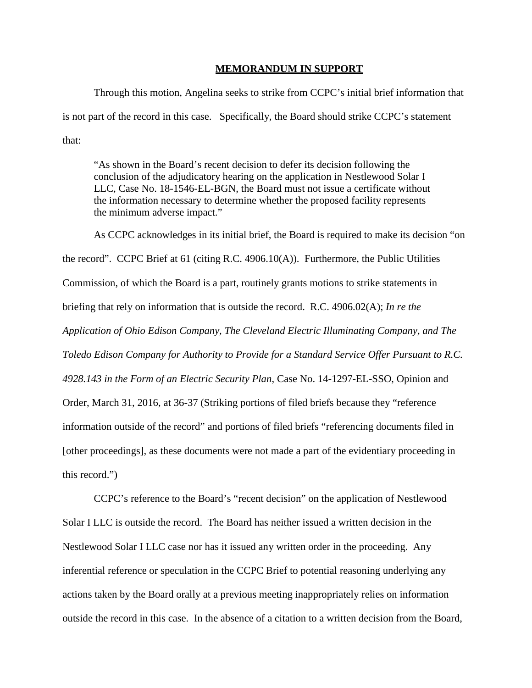## **MEMORANDUM IN SUPPORT**

Through this motion, Angelina seeks to strike from CCPC's initial brief information that is not part of the record in this case. Specifically, the Board should strike CCPC's statement that:

"As shown in the Board's recent decision to defer its decision following the conclusion of the adjudicatory hearing on the application in Nestlewood Solar I LLC, Case No. 18-1546-EL-BGN, the Board must not issue a certificate without the information necessary to determine whether the proposed facility represents the minimum adverse impact."

As CCPC acknowledges in its initial brief, the Board is required to make its decision "on the record". CCPC Brief at 61 (citing R.C. 4906.10(A)). Furthermore, the Public Utilities Commission, of which the Board is a part, routinely grants motions to strike statements in briefing that rely on information that is outside the record. R.C. 4906.02(A); *In re the Application of Ohio Edison Company, The Cleveland Electric Illuminating Company, and The Toledo Edison Company for Authority to Provide for a Standard Service Offer Pursuant to R.C. 4928.143 in the Form of an Electric Security Plan*, Case No. 14-1297-EL-SSO, Opinion and Order, March 31, 2016, at 36-37 (Striking portions of filed briefs because they "reference information outside of the record" and portions of filed briefs "referencing documents filed in [other proceedings], as these documents were not made a part of the evidentiary proceeding in this record.")

CCPC's reference to the Board's "recent decision" on the application of Nestlewood Solar I LLC is outside the record. The Board has neither issued a written decision in the Nestlewood Solar I LLC case nor has it issued any written order in the proceeding. Any inferential reference or speculation in the CCPC Brief to potential reasoning underlying any actions taken by the Board orally at a previous meeting inappropriately relies on information outside the record in this case. In the absence of a citation to a written decision from the Board,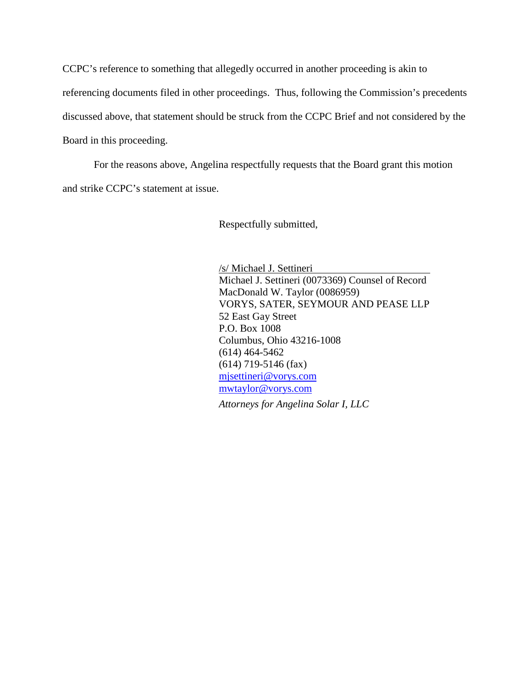CCPC's reference to something that allegedly occurred in another proceeding is akin to referencing documents filed in other proceedings. Thus, following the Commission's precedents discussed above, that statement should be struck from the CCPC Brief and not considered by the Board in this proceeding.

For the reasons above, Angelina respectfully requests that the Board grant this motion and strike CCPC's statement at issue.

Respectfully submitted,

/s/ Michael J. Settineri Michael J. Settineri (0073369) Counsel of Record MacDonald W. Taylor (0086959) VORYS, SATER, SEYMOUR AND PEASE LLP 52 East Gay Street P.O. Box 1008 Columbus, Ohio 43216-1008 (614) 464-5462 (614) 719-5146 (fax) mjsettineri@vorys.com mwtaylor@vorys.com

*Attorneys for Angelina Solar I, LLC*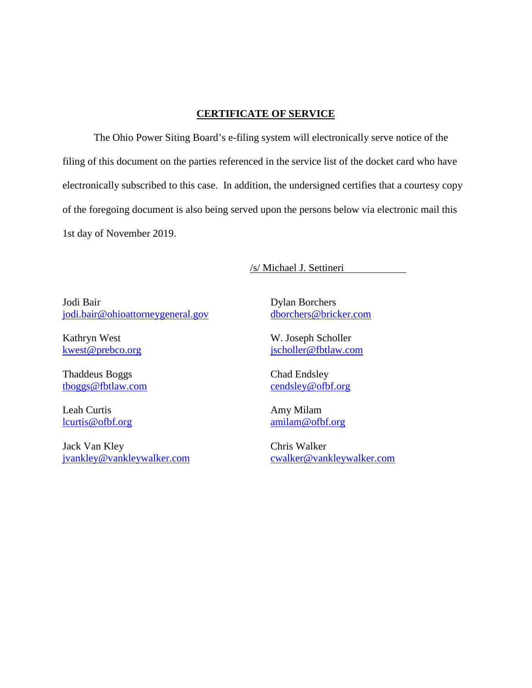## **CERTIFICATE OF SERVICE**

The Ohio Power Siting Board's e-filing system will electronically serve notice of the filing of this document on the parties referenced in the service list of the docket card who have electronically subscribed to this case. In addition, the undersigned certifies that a courtesy copy of the foregoing document is also being served upon the persons below via electronic mail this 1st day of November 2019.

/s/ Michael J. Settineri

Jodi Bair jodi.bair@ohioattorneygeneral.gov

Kathryn West kwest@prebco.org

Thaddeus Boggs tboggs@fbtlaw.com

Leah Curtis lcurtis@ofbf.org

Jack Van Kley jvankley@vankleywalker.com Dylan Borchers dborchers@bricker.com

W. Joseph Scholler jscholler@fbtlaw.com

Chad Endsley cendsley@ofbf.org

Amy Milam amilam@ofbf.org

Chris Walker cwalker@vankleywalker.com